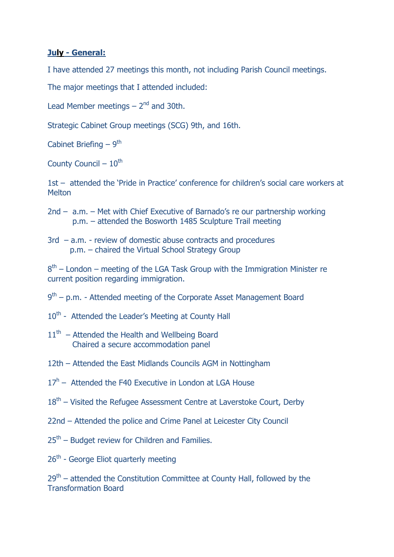### **July - General:**

I have attended 27 meetings this month, not including Parish Council meetings.

The major meetings that I attended included:

Lead Member meetings  $-2<sup>nd</sup>$  and 30th.

Strategic Cabinet Group meetings (SCG) 9th, and 16th.

Cabinet Briefing  $-9<sup>th</sup>$ 

County Council  $-10^{th}$ 

1st – attended the 'Pride in Practice' conference for children's social care workers at **Melton** 

- 2nd a.m. Met with Chief Executive of Barnado's re our partnership working p.m. – attended the Bosworth 1485 Sculpture Trail meeting
- 3rd a.m. review of domestic abuse contracts and procedures p.m. – chaired the Virtual School Strategy Group

 $8<sup>th</sup>$  – London – meeting of the LGA Task Group with the Immigration Minister re current position regarding immigration.

9<sup>th</sup> – p.m. - Attended meeting of the Corporate Asset Management Board

- 10<sup>th</sup> Attended the Leader's Meeting at County Hall
- $11<sup>th</sup>$  Attended the Health and Wellbeing Board Chaired a secure accommodation panel
- 12th Attended the East Midlands Councils AGM in Nottingham
- $17<sup>h</sup>$  Attended the F40 Executive in London at LGA House
- 18<sup>th</sup> Visited the Refugee Assessment Centre at Laverstoke Court, Derby
- 22nd Attended the police and Crime Panel at Leicester City Council
- 25<sup>th</sup> Budget review for Children and Families.
- 26<sup>th</sup> George Eliot quarterly meeting

 $29<sup>th</sup>$  – attended the Constitution Committee at County Hall, followed by the Transformation Board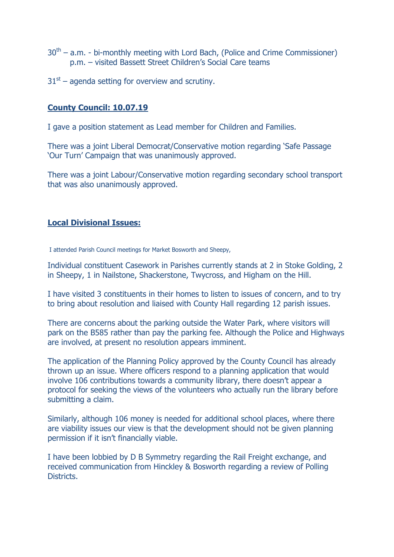- 30<sup>th</sup> a.m. bi-monthly meeting with Lord Bach, (Police and Crime Commissioner) p.m. – visited Bassett Street Children's Social Care teams
- $31<sup>st</sup>$  agenda setting for overview and scrutiny.

# **County Council: 10.07.19**

I gave a position statement as Lead member for Children and Families.

There was a joint Liberal Democrat/Conservative motion regarding 'Safe Passage 'Our Turn' Campaign that was unanimously approved.

There was a joint Labour/Conservative motion regarding secondary school transport that was also unanimously approved.

## **Local Divisional Issues:**

I attended Parish Council meetings for Market Bosworth and Sheepy,

Individual constituent Casework in Parishes currently stands at 2 in Stoke Golding, 2 in Sheepy, 1 in Nailstone, Shackerstone, Twycross, and Higham on the Hill.

I have visited 3 constituents in their homes to listen to issues of concern, and to try to bring about resolution and liaised with County Hall regarding 12 parish issues.

There are concerns about the parking outside the Water Park, where visitors will park on the B585 rather than pay the parking fee. Although the Police and Highways are involved, at present no resolution appears imminent.

The application of the Planning Policy approved by the County Council has already thrown up an issue. Where officers respond to a planning application that would involve 106 contributions towards a community library, there doesn't appear a protocol for seeking the views of the volunteers who actually run the library before submitting a claim.

Similarly, although 106 money is needed for additional school places, where there are viability issues our view is that the development should not be given planning permission if it isn't financially viable.

I have been lobbied by D B Symmetry regarding the Rail Freight exchange, and received communication from Hinckley & Bosworth regarding a review of Polling Districts.